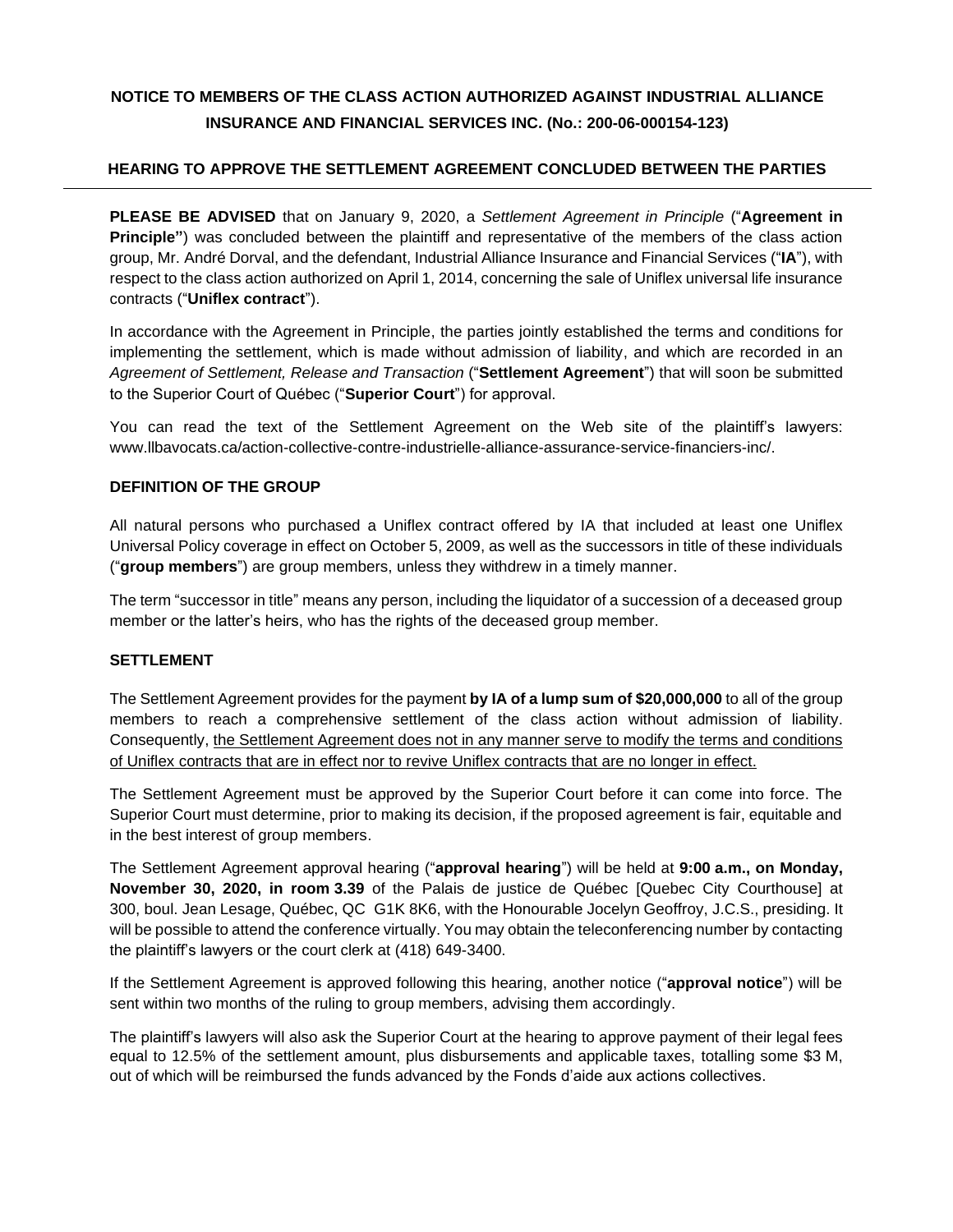# **NOTICE TO MEMBERS OF THE CLASS ACTION AUTHORIZED AGAINST INDUSTRIAL ALLIANCE INSURANCE AND FINANCIAL SERVICES INC. (No.: 200-06-000154-123)**

## **HEARING TO APPROVE THE SETTLEMENT AGREEMENT CONCLUDED BETWEEN THE PARTIES**

**PLEASE BE ADVISED** that on January 9, 2020, a *Settlement Agreement in Principle* ("**Agreement in Principle"**) was concluded between the plaintiff and representative of the members of the class action group, Mr. André Dorval, and the defendant, Industrial Alliance Insurance and Financial Services ("**IA**"), with respect to the class action authorized on April 1, 2014, concerning the sale of Uniflex universal life insurance contracts ("**Uniflex contract**").

In accordance with the Agreement in Principle, the parties jointly established the terms and conditions for implementing the settlement, which is made without admission of liability, and which are recorded in an *Agreement of Settlement, Release and Transaction* ("**Settlement Agreement**") that will soon be submitted to the Superior Court of Québec ("**Superior Court**") for approval.

You can read the text of the Settlement Agreement on the Web site of the plaintiff's lawyers: [www.llbavocats.ca/action-collective-contre-industrielle-alliance-assurance-service-financiers-inc/.](http://www.llbavocats.ca/action-collective-contre-industrielle-alliance-assurance-service-financiers-inc/)

### **DEFINITION OF THE GROUP**

All natural persons who purchased a Uniflex contract offered by IA that included at least one Uniflex Universal Policy coverage in effect on October 5, 2009, as well as the successors in title of these individuals ("**group members**") are group members, unless they withdrew in a timely manner.

The term "successor in title" means any person, including the liquidator of a succession of a deceased group member or the latter's heirs, who has the rights of the deceased group member.

#### **SETTLEMENT**

The Settlement Agreement provides for the payment **by IA of a lump sum of \$20,000,000** to all of the group members to reach a comprehensive settlement of the class action without admission of liability. Consequently, the Settlement Agreement does not in any manner serve to modify the terms and conditions of Uniflex contracts that are in effect nor to revive Uniflex contracts that are no longer in effect.

The Settlement Agreement must be approved by the Superior Court before it can come into force. The Superior Court must determine, prior to making its decision, if the proposed agreement is fair, equitable and in the best interest of group members.

The Settlement Agreement approval hearing ("**approval hearing**") will be held at **9:00 a.m., on Monday, November 30, 2020, in room 3.39** of the Palais de justice de Québec [Quebec City Courthouse] at 300, boul. Jean Lesage, Québec, QC G1K 8K6, with the Honourable Jocelyn Geoffroy, J.C.S., presiding. It will be possible to attend the conference virtually. You may obtain the teleconferencing number by contacting the plaintiff's lawyers or the court clerk at (418) 649-3400.

If the Settlement Agreement is approved following this hearing, another notice ("**approval notice**") will be sent within two months of the ruling to group members, advising them accordingly.

The plaintiff's lawyers will also ask the Superior Court at the hearing to approve payment of their legal fees equal to 12.5% of the settlement amount, plus disbursements and applicable taxes, totalling some \$3 M, out of which will be reimbursed the funds advanced by the Fonds d'aide aux actions collectives.